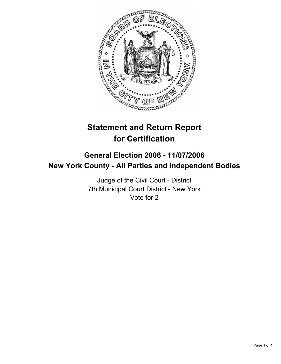

# **Statement and Return Report for Certification**

## **General Election 2006 - 11/07/2006 New York County - All Parties and Independent Bodies**

Judge of the Civil Court - District 7th Municipal Court District - New York Vote for 2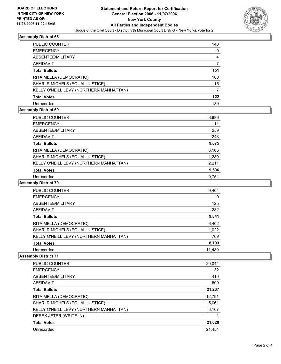

#### **Assembly District 68**

| PUBLIC COUNTER                          | 140 |
|-----------------------------------------|-----|
| <b>EMERGENCY</b>                        | O   |
| ABSENTEE/MILITARY                       |     |
| <b>AFFIDAVIT</b>                        |     |
| <b>Total Ballots</b>                    | 151 |
| RITA MELLA (DEMOCRATIC)                 | 100 |
| SHARI R MICHELS (EQUAL JUSTICE)         | 15  |
| KELLY O'NEILL LEVY (NORTHERN MANHATTAN) |     |
| <b>Total Votes</b>                      | 122 |
| Unrecorded                              | 180 |

#### **Assembly District 69**

| <b>PUBLIC COUNTER</b>                   | 8,986 |
|-----------------------------------------|-------|
| <b>EMERGENCY</b>                        | 11    |
| ABSENTEE/MILITARY                       | 259   |
| AFFIDAVIT                               | 243   |
| <b>Total Ballots</b>                    | 9,675 |
| RITA MELLA (DEMOCRATIC)                 | 6,105 |
| SHARI R MICHELS (EQUAL JUSTICE)         | 1,280 |
| KELLY O'NEILL LEVY (NORTHERN MANHATTAN) | 2,211 |
| <b>Total Votes</b>                      | 9,596 |
| Unrecorded                              | 9.754 |

#### **Assembly District 70**

| <b>PUBLIC COUNTER</b>                   | 9,404  |
|-----------------------------------------|--------|
| <b>EMERGENCY</b>                        |        |
| ABSENTEE/MILITARY                       | 125    |
| AFFIDAVIT                               | 282    |
| <b>Total Ballots</b>                    | 9,841  |
| RITA MELLA (DEMOCRATIC)                 | 6,402  |
| SHARI R MICHELS (EQUAL JUSTICE)         | 1,022  |
| KELLY O'NEILL LEVY (NORTHERN MANHATTAN) | 769    |
| <b>Total Votes</b>                      | 8,193  |
| Unrecorded                              | 11,489 |

#### **Assembly District 71**

| <b>PUBLIC COUNTER</b>                   | 20,044 |
|-----------------------------------------|--------|
| <b>EMERGENCY</b>                        | 32     |
| ABSENTEE/MILITARY                       | 410    |
| AFFIDAVIT                               | 609    |
| <b>Total Ballots</b>                    | 21,237 |
| RITA MELLA (DEMOCRATIC)                 | 12,791 |
| SHARI R MICHELS (EQUAL JUSTICE)         | 5,061  |
| KELLY O'NEILL LEVY (NORTHERN MANHATTAN) | 3,167  |
| DEREK JETER (WRITE-IN)                  |        |
| <b>Total Votes</b>                      | 21,020 |
| Unrecorded                              | 21.454 |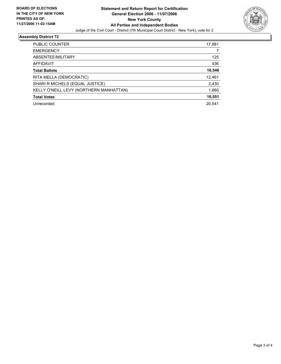

#### **Assembly District 72**

| PUBLIC COUNTER                          | 17,881 |
|-----------------------------------------|--------|
| <b>EMERGENCY</b>                        |        |
| ABSENTEE/MILITARY                       | 125    |
| AFFIDAVIT                               | 436    |
| <b>Total Ballots</b>                    | 18,546 |
| RITA MELLA (DEMOCRATIC)                 | 12,461 |
| SHARI R MICHELS (EQUAL JUSTICE)         | 2,430  |
| KELLY O'NEILL LEVY (NORTHERN MANHATTAN) | 1,660  |
| <b>Total Votes</b>                      | 16,551 |
| Unrecorded                              | 20,541 |
|                                         |        |